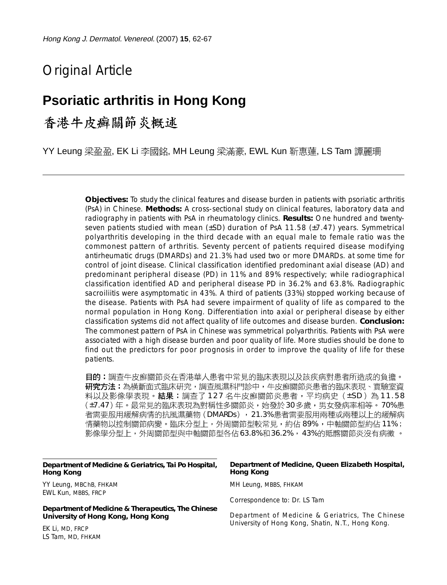# Original Article

# **Psoriatic arthritis in Hong Kong**

## 香港牛皮癣關節炎概述

YY Leung 梁盈盈, EK Li 李國銘, MH Leung 梁滿豪, EWL Kun 靳惠蓮, LS Tam 譚麗珊

**Objectives:** To study the clinical features and disease burden in patients with psoriatic arthritis (PsA) in Chinese. **Methods:** A cross-sectional study on clinical features, laboratory data and radiography in patients with PsA in rheumatology clinics. **Results:** One hundred and twentyseven patients studied with mean  $(\pm SD)$  duration of PsA 11.58 ( $\pm 7.47$ ) years. Symmetrical polyarthritis developing in the third decade with an equal male to female ratio was the commonest pattern of arthritis. Seventy percent of patients required disease modifying antirheumatic drugs (DMARDs) and 21.3% had used two or more DMARDs. at some time for control of joint disease. Clinical classification identified predominant axial disease (AD) and predominant peripheral disease (PD) in 11% and 89% respectively; while radiographical classification identified AD and peripheral disease PD in 36.2% and 63.8%. Radiographic sacroiliitis were asymptomatic in 43%. A third of patients (33%) stopped working because of the disease. Patients with PsA had severe impairment of quality of life as compared to the normal population in Hong Kong. Differentiation into axial or peripheral disease by either classification systems did not affect quality of life outcomes and disease burden. **Conclusion:** The commonest pattern of PsA in Chinese was symmetrical polyarthritis. Patients with PsA were associated with a high disease burden and poor quality of life. More studies should be done to find out the predictors for poor prognosis in order to improve the quality of life for these patients.

目的:調查牛皮癬關節炎在香港華人患者中常見的臨床表現以及該疾病對患者所造成的負擔。 **研究方法:**為橫斷面式臨床研究,調查風濕科門診中,牛皮癬關節炎患者的臨床表現、實驗室資 料以及影像學表現。**結果:**調查了 1 2 7 名牛皮癬關節炎患者,平均病史(±SD)為 1 1.5 8 (±7.47)年。最常見的臨床表現為對稱性多關節炎,始發於30多歲,男女發病率相等。70%患 者需要服用緩解病情的抗風濕藥物(DMARDs),21.3%患者需要服用兩種或兩種以上的緩解病 情藥物以控制關節病變。臨床分型上,外周關節型較常見,約佔 89% ,中軸關節型約佔 11%; 影像學分型上,外周關節型與中軸關節型各佔63.8%和36.2%, 43%的貾髂關節炎沒有病徵 。

#### **Department of Medicine & Geriatrics, Tai Po Hospital, Hong Kong**

YY Leung, MBChB, FHKAM EWL Kun, MBBS, FRCP

**Department of Medicine & Therapeutics, The Chinese University of Hong Kong, Hong Kong**

EK Li, MD, FRCP LS Tam, MD, FHKAM

#### **Department of Medicine, Queen Elizabeth Hospital, Hong Kong**

MH Leung, MBBS, FHKAM

Correspondence to: Dr. LS Tam

Department of Medicine & Geriatrics, The Chinese University of Hong Kong, Shatin, N.T., Hong Kong.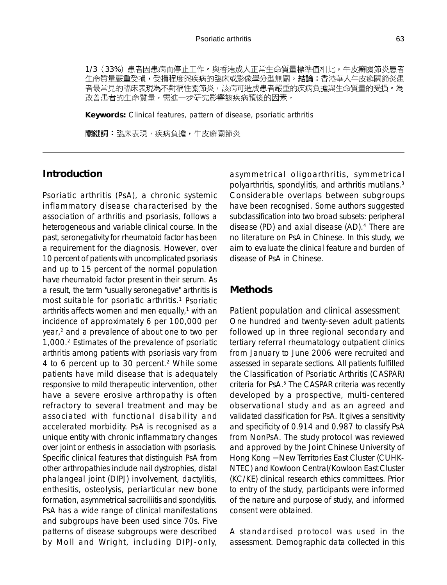1/3 (33%) 患者因患病而停止工作。與香港成人正常生命質量標準值相比,牛皮癬關節炎患者 生命質量嚴重受損,受損程度與疾病的臨床或影像學分型無關。結論:香港華人牛皮癬關節炎患 者最常見的臨床表現為不對稱性關節炎,該病可造成患者嚴重的疾病負擔與生命質量的受損。為 改善患者的生命質量,需進一步研究影響該疾病預後的因素。

**Keywords:** Clinical features, pattern of disease, psoriatic arthritis

關鍵詞:臨床表現,疾病負擔,牛皮癬關節炎

## **Introduction**

Psoriatic arthritis (PsA), a chronic systemic inflammatory disease characterised by the association of arthritis and psoriasis, follows a heterogeneous and variable clinical course. In the past, seronegativity for rheumatoid factor has been a requirement for the diagnosis. However, over 10 percent of patients with uncomplicated psoriasis and up to 15 percent of the normal population have rheumatoid factor present in their serum. As a result, the term "usually seronegative" arthritis is most suitable for psoriatic arthritis.<sup>1</sup> Psoriatic arthritis affects women and men equally, $1$  with an incidence of approximately 6 per 100,000 per year,<sup>2</sup> and a prevalence of about one to two per 1,000.2 Estimates of the prevalence of psoriatic arthritis among patients with psoriasis vary from 4 to 6 percent up to 30 percent.<sup>2</sup> While some patients have mild disease that is adequately responsive to mild therapeutic intervention, other have a severe erosive arthropathy is often refractory to several treatment and may be associated with functional disability and accelerated morbidity. PsA is recognised as a unique entity with chronic inflammatory changes over joint or enthesis in association with psoriasis. Specific clinical features that distinguish PsA from other arthropathies include nail dystrophies, distal phalangeal joint (DIPJ) involvement, dactylitis, enthesitis, osteolysis, periarticular new bone formation, asymmetrical sacroiliitis and spondylitis. PsA has a wide range of clinical manifestations and subgroups have been used since 70s. Five patterns of disease subgroups were described by Moll and Wright, including DIPJ-only,

asymmetrical oligoarthritis, symmetrical polyarthritis, spondylitis, and arthritis mutilans.3 Considerable overlaps between subgroups have been recognised. Some authors suggested subclassification into two broad subsets: peripheral disease (PD) and axial disease (AD).4 There are no literature on PsA in Chinese. In this study, we aim to evaluate the clinical feature and burden of disease of PsA in Chinese.

### **Methods**

*Patient population and clinical assessment* One hundred and twenty-seven adult patients followed up in three regional secondary and tertiary referral rheumatology outpatient clinics from January to June 2006 were recruited and assessed in separate sections. All patients fulfilled the Classification of Psoriatic Arthritis (CASPAR) criteria for PsA.<sup>5</sup> The CASPAR criteria was recently developed by a prospective, multi-centered observational study and as an agreed and validated classification for PsA. It gives a sensitivity and specificity of 0.914 and 0.987 to classify PsA from NonPsA. The study protocol was reviewed and approved by the Joint Chinese University of Hong Kong − New Territories East Cluster (CUHK-NTEC) and Kowloon Central/Kowloon East Cluster (KC/KE) clinical research ethics committees. Prior to entry of the study, participants were informed of the nature and purpose of study, and informed consent were obtained.

A standardised protocol was used in the assessment. Demographic data collected in this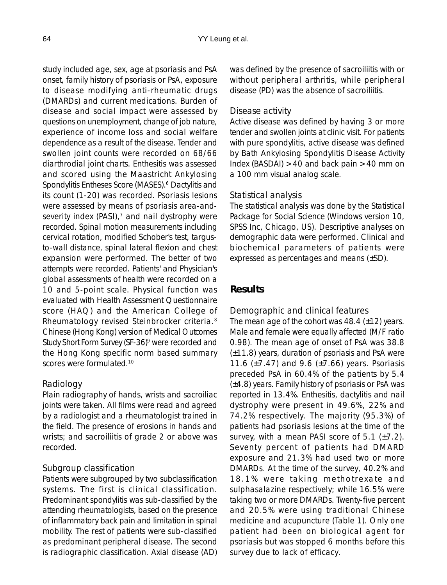study included age, sex, age at psoriasis and PsA onset, family history of psoriasis or PsA, exposure to disease modifying anti-rheumatic drugs (DMARDs) and current medications. Burden of disease and social impact were assessed by questions on unemployment, change of job nature, experience of income loss and social welfare dependence as a result of the disease. Tender and swollen joint counts were recorded on 68/66 diarthrodial joint charts. Enthesitis was assessed and scored using the Maastricht Ankylosing Spondylitis Entheses Score (MASES).<sup>6</sup> Dactylitis and its count (1-20) was recorded. Psoriasis lesions were assessed by means of psoriasis area-andseverity index (PASI), $<sup>7</sup>$  and nail dystrophy were</sup> recorded. Spinal motion measurements including cervical rotation, modified Schober's test, targusto-wall distance, spinal lateral flexion and chest expansion were performed. The better of two attempts were recorded. Patients' and Physician's global assessments of health were recorded on a 10 and 5-point scale. Physical function was evaluated with Health Assessment Questionnaire score (HAQ) and the American College of Rheumatology revised Steinbrocker criteria.8 Chinese (Hong Kong) version of Medical Outcomes Study Short Form Survey (SF-36)<sup>9</sup> were recorded and the Hong Kong specific norm based summary scores were formulated.<sup>10</sup>

## *Radiology*

Plain radiography of hands, wrists and sacroiliac joints were taken. All films were read and agreed by a radiologist and a rheumatologist trained in the field. The presence of erosions in hands and wrists; and sacroiliitis of grade 2 or above was recorded.

#### *Subgroup classification*

Patients were subgrouped by two subclassification systems. The first is clinical classification. Predominant spondylitis was sub-classified by the attending rheumatologists, based on the presence of inflammatory back pain and limitation in spinal mobility. The rest of patients were sub-classified as predominant peripheral disease. The second is radiographic classification. Axial disease (AD) was defined by the presence of sacroiliitis with or without peripheral arthritis, while peripheral disease (PD) was the absence of sacroiliitis.

### *Disease activity*

Active disease was defined by having 3 or more tender and swollen joints at clinic visit. For patients with pure spondylitis, active disease was defined by Bath Ankylosing Spondylitis Disease Activity Index (BASDAI)  $>40$  and back pain  $>40$  mm on a 100 mm visual analog scale.

#### *Statistical analysis*

The statistical analysis was done by the Statistical Package for Social Science (Windows version 10, SPSS Inc, Chicago, US). Descriptive analyses on demographic data were performed. Clinical and biochemical parameters of patients were expressed as percentages and means (±SD).

### **Results**

#### *Demographic and clinical features*

The mean age of the cohort was  $48.4$  ( $\pm$ 12) years. Male and female were equally affected (M/F ratio 0.98). The mean age of onset of PsA was 38.8 (±11.8) years, duration of psoriasis and PsA were 11.6  $(\pm 7.47)$  and 9.6  $(\pm 7.66)$  years. Psoriasis preceded PsA in 60.4% of the patients by 5.4 (±4.8) years. Family history of psoriasis or PsA was reported in 13.4%. Enthesitis, dactylitis and nail dystrophy were present in 49.6%, 22% and 74.2% respectively. The majority (95.3%) of patients had psoriasis lesions at the time of the survey, with a mean PASI score of 5.1 (±7.2). Seventy percent of patients had DMARD exposure and 21.3% had used two or more DMARDs. At the time of the survey, 40.2% and 18.1% were taking methotrexate and sulphasalazine respectively; while 16.5% were taking two or more DMARDs. Twenty-five percent and 20.5% were using traditional Chinese medicine and acupuncture (Table 1). Only one patient had been on biological agent for psoriasis but was stopped 6 months before this survey due to lack of efficacy.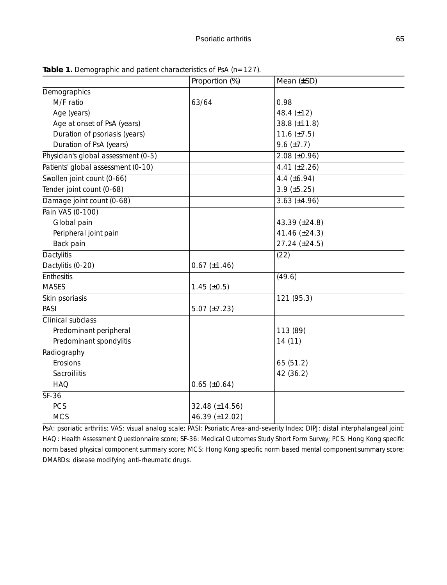|                                     | Proportion (%)      | Mean (±SD)         |
|-------------------------------------|---------------------|--------------------|
| Demographics                        |                     |                    |
| M/F ratio                           | 63/64               | 0.98               |
| Age (years)                         |                     | 48.4 $(\pm 12)$    |
| Age at onset of PsA (years)         |                     | 38.8 (±11.8)       |
| Duration of psoriasis (years)       |                     | 11.6 $(\pm 7.5)$   |
| Duration of PsA (years)             |                     | $9.6 \ (\pm 7.7)$  |
| Physician's global assessment (0-5) |                     | $2.08 (\pm 0.96)$  |
| Patients' global assessment (0-10)  |                     | 4.41 $(\pm 2.26)$  |
| Swollen joint count (0-66)          |                     | 4.4 $(\pm 6.94)$   |
| Tender joint count (0-68)           |                     | $3.9 \ (\pm 5.25)$ |
| Damage joint count (0-68)           |                     | $3.63 (\pm 4.96)$  |
| Pain VAS (0-100)                    |                     |                    |
| Global pain                         |                     | 43.39 (±24.8)      |
| Peripheral joint pain               |                     | 41.46 (±24.3)      |
| Back pain                           |                     | 27.24 (±24.5)      |
| Dactylitis                          |                     | (22)               |
| Dactylitis (0-20)                   | $0.67 (\pm 1.46)$   |                    |
| <b>Enthesitis</b>                   |                     | (49.6)             |
| <b>MASES</b>                        | $1.45 \ (\pm 0.5)$  |                    |
| Skin psoriasis                      |                     | 121 (95.3)         |
| PASI                                | 5.07 $(\pm 7.23)$   |                    |
| Clinical subclass                   |                     |                    |
| Predominant peripheral              |                     | 113 (89)           |
| Predominant spondylitis             |                     | 14 (11)            |
| Radiography                         |                     |                    |
| Erosions                            |                     | 65 (51.2)          |
| Sacroiliitis                        |                     | 42 (36.2)          |
| <b>HAQ</b>                          | $0.65 \ (\pm 0.64)$ |                    |
| SF-36                               |                     |                    |
| PCS                                 | 32.48 (±14.56)      |                    |
| <b>MCS</b>                          | 46.39 (±12.02)      |                    |

Table 1. Demographic and patient characteristics of PsA (n=127).

PsA: psoriatic arthritis; VAS: visual analog scale; PASI: Psoriatic Area-and-severity Index; DIPJ: distal interphalangeal joint; HAQ: Health Assessment Questionnaire score; SF-36: Medical Outcomes Study Short Form Survey; PCS: Hong Kong specific norm based physical component summary score; MCS: Hong Kong specific norm based mental component summary score; DMARDs: disease modifying anti-rheumatic drugs.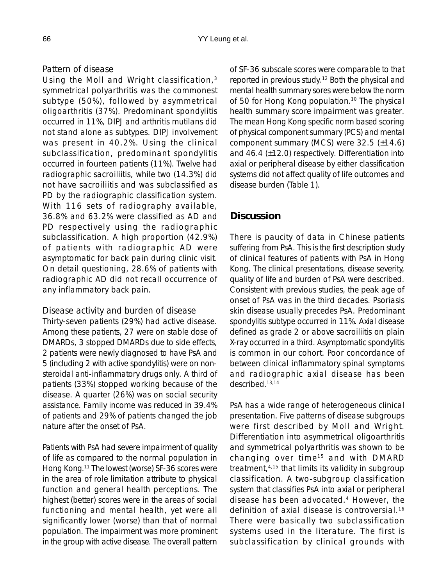#### *Pattern of disease*

Using the Moll and Wright classification,<sup>3</sup> symmetrical polyarthritis was the commonest subtype (50%), followed by asymmetrical oligoarthritis (37%). Predominant spondylitis occurred in 11%, DIPJ and arthritis mutilans did not stand alone as subtypes. DIPJ involvement was present in 40.2%. Using the clinical subclassification, predominant spondylitis occurred in fourteen patients (11%). Twelve had radiographic sacroiliitis, while two (14.3%) did not have sacroiliitis and was subclassified as PD by the radiographic classification system. With 116 sets of radiography available, 36.8% and 63.2% were classified as AD and PD respectively using the radiographic subclassification. A high proportion (42.9%) of patients with radiographic AD were asymptomatic for back pain during clinic visit. On detail questioning, 28.6% of patients with radiographic AD did not recall occurrence of any inflammatory back pain.

#### *Disease activity and burden of disease*

Thirty-seven patients (29%) had active disease. Among these patients, 27 were on stable dose of DMARDs, 3 stopped DMARDs due to side effects, 2 patients were newly diagnosed to have PsA and 5 (including 2 with active spondylitis) were on nonsteroidal anti-inflammatory drugs only. A third of patients (33%) stopped working because of the disease. A quarter (26%) was on social security assistance. Family income was reduced in 39.4% of patients and 29% of patients changed the job nature after the onset of PsA.

Patients with PsA had severe impairment of quality of life as compared to the normal population in Hong Kong.11 The lowest (worse) SF-36 scores were in the area of role limitation attribute to physical function and general health perceptions. The highest (better) scores were in the areas of social functioning and mental health, yet were all significantly lower (worse) than that of normal population. The impairment was more prominent in the group with active disease. The overall pattern of SF-36 subscale scores were comparable to that reported in previous study.12 Both the physical and mental health summary sores were below the norm of 50 for Hong Kong population.<sup>10</sup> The physical health summary score impairment was greater. The mean Hong Kong specific norm based scoring of physical component summary (PCS) and mental component summary (MCS) were 32.5 (±14.6) and 46.4 (±12.0) respectively. Differentiation into axial or peripheral disease by either classification systems did not affect quality of life outcomes and disease burden (Table 1).

## **Discussion**

There is paucity of data in Chinese patients suffering from PsA. This is the first description study of clinical features of patients with PsA in Hong Kong. The clinical presentations, disease severity, quality of life and burden of PsA were described. Consistent with previous studies, the peak age of onset of PsA was in the third decades. Psoriasis skin disease usually precedes PsA. Predominant spondylitis subtype occurred in 11%. Axial disease defined as grade 2 or above sacroiliitis on plain X-ray occurred in a third. Asymptomatic spondylitis is common in our cohort. Poor concordance of between clinical inflammatory spinal symptoms and radiographic axial disease has been described.13,14

PsA has a wide range of heterogeneous clinical presentation. Five patterns of disease subgroups were first described by Moll and Wright. Differentiation into asymmetrical oligoarthritis and symmetrical polyarthritis was shown to be changing over time<sup>15</sup> and with DMARD treatment,4,15 that limits its validity in subgroup classification. A two-subgroup classification system that classifies PsA into axial or peripheral disease has been advocated.4 However, the definition of axial disease is controversial.<sup>16</sup> There were basically two subclassification systems used in the literature. The first is subclassification by clinical grounds with